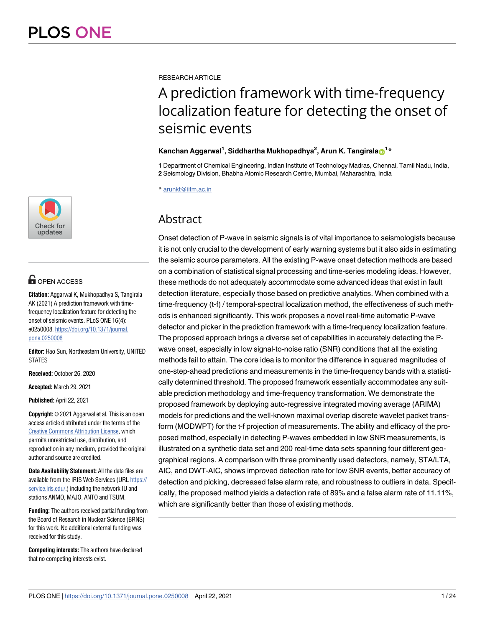

# **G** OPEN ACCESS

**Citation:** Aggarwal K, Mukhopadhya S, Tangirala AK (2021) A prediction framework with timefrequency localization feature for detecting the onset of seismic events. PLoS ONE 16(4): e0250008. [https://doi.org/10.1371/journal.](https://doi.org/10.1371/journal.pone.0250008) [pone.0250008](https://doi.org/10.1371/journal.pone.0250008)

**Editor:** Hao Sun, Northeastern University, UNITED STATES

**Received:** October 26, 2020

**Accepted:** March 29, 2021

**Published:** April 22, 2021

**Copyright:** © 2021 Aggarwal et al. This is an open access article distributed under the terms of the [Creative Commons Attribution License,](http://creativecommons.org/licenses/by/4.0/) which permits unrestricted use, distribution, and reproduction in any medium, provided the original author and source are credited.

**Data Availability Statement:** All the data files are available from the IRIS Web Services (URL [https://](https://service.iris.edu/) [service.iris.edu/](https://service.iris.edu/).) including the network IU and stations ANMO, MAJO, ANTO and TSUM.

**Funding:** The authors received partial funding from the Board of Research in Nuclear Science (BRNS) for this work. No additional external funding was received for this study.

**Competing interests:** The authors have declared that no competing interests exist.

RESEARCH ARTICLE

# A prediction framework with time-frequency localization feature for detecting the onset of seismic events

# **Kanchan Aggarwal<sup>1</sup> , Siddhartha Mukhopadhya<sup>2</sup> , Arun K. Tangirala[ID](https://orcid.org/0000-0002-7921-5340)1\***

**1** Department of Chemical Engineering, Indian Institute of Technology Madras, Chennai, Tamil Nadu, India, **2** Seismology Division, Bhabha Atomic Research Centre, Mumbai, Maharashtra, India

\* arunkt@iitm.ac.in

# **Abstract**

Onset detection of P-wave in seismic signals is of vital importance to seismologists because it is not only crucial to the development of early warning systems but it also aids in estimating the seismic source parameters. All the existing P-wave onset detection methods are based on a combination of statistical signal processing and time-series modeling ideas. However, these methods do not adequately accommodate some advanced ideas that exist in fault detection literature, especially those based on predictive analytics. When combined with a time-frequency (t-f) / temporal-spectral localization method, the effectiveness of such methods is enhanced significantly. This work proposes a novel real-time automatic P-wave detector and picker in the prediction framework with a time-frequency localization feature. The proposed approach brings a diverse set of capabilities in accurately detecting the Pwave onset, especially in low signal-to-noise ratio (SNR) conditions that all the existing methods fail to attain. The core idea is to monitor the difference in squared magnitudes of one-step-ahead predictions and measurements in the time-frequency bands with a statistically determined threshold. The proposed framework essentially accommodates any suitable prediction methodology and time-frequency transformation. We demonstrate the proposed framework by deploying auto-regressive integrated moving average (ARIMA) models for predictions and the well-known maximal overlap discrete wavelet packet transform (MODWPT) for the t-f projection of measurements. The ability and efficacy of the proposed method, especially in detecting P-waves embedded in low SNR measurements, is illustrated on a synthetic data set and 200 real-time data sets spanning four different geographical regions. A comparison with three prominently used detectors, namely, STA/LTA, AIC, and DWT-AIC, shows improved detection rate for low SNR events, better accuracy of detection and picking, decreased false alarm rate, and robustness to outliers in data. Specifically, the proposed method yields a detection rate of 89% and a false alarm rate of 11.11%, which are significantly better than those of existing methods.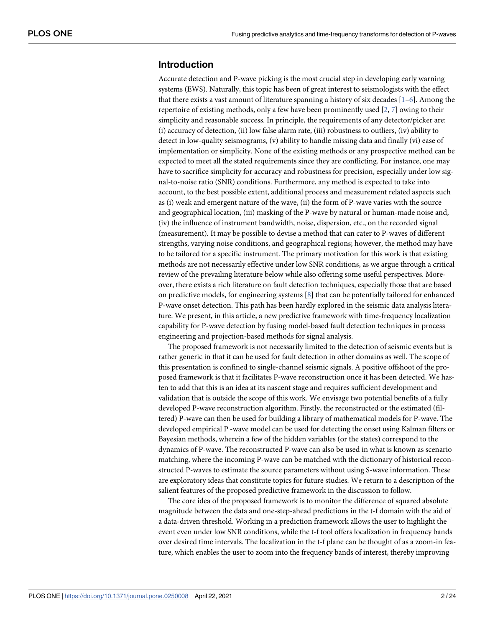# <span id="page-1-0"></span>**Introduction**

Accurate detection and P-wave picking is the most crucial step in developing early warning systems (EWS). Naturally, this topic has been of great interest to seismologists with the effect that there exists a vast amount of literature spanning a history of six decades  $[1-6]$  $[1-6]$ . Among the repertoire of existing methods, only a few have been prominently used [[2,](#page-21-0) [7\]](#page-22-0) owing to their simplicity and reasonable success. In principle, the requirements of any detector/picker are: (i) accuracy of detection, (ii) low false alarm rate, (iii) robustness to outliers, (iv) ability to detect in low-quality seismograms, (v) ability to handle missing data and finally (vi) ease of implementation or simplicity. None of the existing methods or any prospective method can be expected to meet all the stated requirements since they are conflicting. For instance, one may have to sacrifice simplicity for accuracy and robustness for precision, especially under low signal-to-noise ratio (SNR) conditions. Furthermore, any method is expected to take into account, to the best possible extent, additional process and measurement related aspects such as (i) weak and emergent nature of the wave, (ii) the form of P-wave varies with the source and geographical location, (iii) masking of the P-wave by natural or human-made noise and, (iv) the influence of instrument bandwidth, noise, dispersion, etc., on the recorded signal (measurement). It may be possible to devise a method that can cater to P-waves of different strengths, varying noise conditions, and geographical regions; however, the method may have to be tailored for a specific instrument. The primary motivation for this work is that existing methods are not necessarily effective under low SNR conditions, as we argue through a critical review of the prevailing literature below while also offering some useful perspectives. Moreover, there exists a rich literature on fault detection techniques, especially those that are based on predictive models, for engineering systems [\[8\]](#page-22-0) that can be potentially tailored for enhanced P-wave onset detection. This path has been hardly explored in the seismic data analysis literature. We present, in this article, a new predictive framework with time-frequency localization capability for P-wave detection by fusing model-based fault detection techniques in process engineering and projection-based methods for signal analysis.

The proposed framework is not necessarily limited to the detection of seismic events but is rather generic in that it can be used for fault detection in other domains as well. The scope of this presentation is confined to single-channel seismic signals. A positive offshoot of the proposed framework is that it facilitates P-wave reconstruction once it has been detected. We hasten to add that this is an idea at its nascent stage and requires sufficient development and validation that is outside the scope of this work. We envisage two potential benefits of a fully developed P-wave reconstruction algorithm. Firstly, the reconstructed or the estimated (filtered) P-wave can then be used for building a library of mathematical models for P-wave. The developed empirical P -wave model can be used for detecting the onset using Kalman filters or Bayesian methods, wherein a few of the hidden variables (or the states) correspond to the dynamics of P-wave. The reconstructed P-wave can also be used in what is known as scenario matching, where the incoming P-wave can be matched with the dictionary of historical reconstructed P-waves to estimate the source parameters without using S-wave information. These are exploratory ideas that constitute topics for future studies. We return to a description of the salient features of the proposed predictive framework in the discussion to follow.

The core idea of the proposed framework is to monitor the difference of squared absolute magnitude between the data and one-step-ahead predictions in the t-f domain with the aid of a data-driven threshold. Working in a prediction framework allows the user to highlight the event even under low SNR conditions, while the t-f tool offers localization in frequency bands over desired time intervals. The localization in the t-f plane can be thought of as a zoom-in feature, which enables the user to zoom into the frequency bands of interest, thereby improving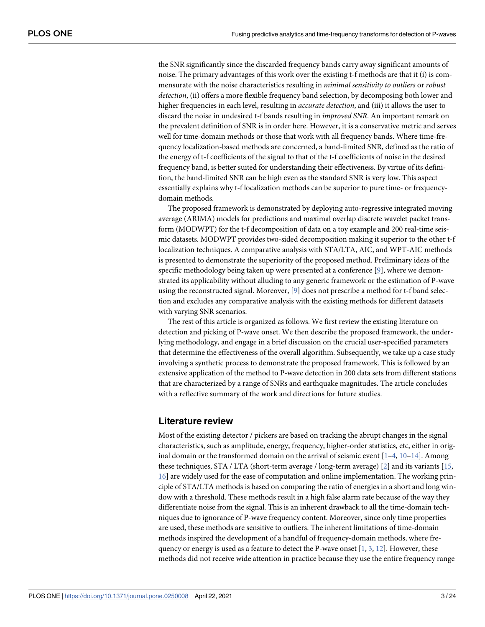<span id="page-2-0"></span>the SNR significantly since the discarded frequency bands carry away significant amounts of noise. The primary advantages of this work over the existing t-f methods are that it (i) is commensurate with the noise characteristics resulting in *minimal sensitivity to outliers* or *robust* detection, (ii) offers a more flexible frequency band selection, by decomposing both lower and higher frequencies in each level, resulting in *accurate detection*, and (iii) it allows the user to discard the noise in undesired t-f bands resulting in *improved SNR*. An important remark on the prevalent definition of SNR is in order here. However, it is a conservative metric and serves well for time-domain methods or those that work with all frequency bands. Where time-frequency localization-based methods are concerned, a band-limited SNR, defined as the ratio of the energy of t-f coefficients of the signal to that of the t-f coefficients of noise in the desired frequency band, is better suited for understanding their effectiveness. By virtue of its definition, the band-limited SNR can be high even as the standard SNR is very low. This aspect essentially explains why t-f localization methods can be superior to pure time- or frequencydomain methods.

The proposed framework is demonstrated by deploying auto-regressive integrated moving average (ARIMA) models for predictions and maximal overlap discrete wavelet packet transform (MODWPT) for the t-f decomposition of data on a toy example and 200 real-time seismic datasets. MODWPT provides two-sided decomposition making it superior to the other t-f localization techniques. A comparative analysis with STA/LTA, AIC, and WPT-AIC methods is presented to demonstrate the superiority of the proposed method. Preliminary ideas of the specific methodology being taken up were presented at a conference [\[9\]](#page-22-0), where we demonstrated its applicability without alluding to any generic framework or the estimation of P-wave using the reconstructed signal. Moreover,  $[9]$  $[9]$  does not prescribe a method for t-f band selection and excludes any comparative analysis with the existing methods for different datasets with varying SNR scenarios.

The rest of this article is organized as follows. We first review the existing literature on detection and picking of P-wave onset. We then describe the proposed framework, the underlying methodology, and engage in a brief discussion on the crucial user-specified parameters that determine the effectiveness of the overall algorithm. Subsequently, we take up a case study involving a synthetic process to demonstrate the proposed framework. This is followed by an extensive application of the method to P-wave detection in 200 data sets from different stations that are characterized by a range of SNRs and earthquake magnitudes. The article concludes with a reflective summary of the work and directions for future studies.

### **Literature review**

Most of the existing detector / pickers are based on tracking the abrupt changes in the signal characteristics, such as amplitude, energy, frequency, higher-order statistics, etc, either in original domain or the transformed domain on the arrival of seismic event  $[1-4, 10-14]$  $[1-4, 10-14]$  $[1-4, 10-14]$ . Among these techniques, STA / LTA (short-term average / long-term average) [\[2\]](#page-21-0) and its variants [[15](#page-22-0), [16\]](#page-22-0) are widely used for the ease of computation and online implementation. The working principle of STA/LTA methods is based on comparing the ratio of energies in a short and long window with a threshold. These methods result in a high false alarm rate because of the way they differentiate noise from the signal. This is an inherent drawback to all the time-domain techniques due to ignorance of P-wave frequency content. Moreover, since only time properties are used, these methods are sensitive to outliers. The inherent limitations of time-domain methods inspired the development of a handful of frequency-domain methods, where frequency or energy is used as a feature to detect the P-wave onset  $[1, 3, 12]$  $[1, 3, 12]$  $[1, 3, 12]$  $[1, 3, 12]$  $[1, 3, 12]$  $[1, 3, 12]$ . However, these methods did not receive wide attention in practice because they use the entire frequency range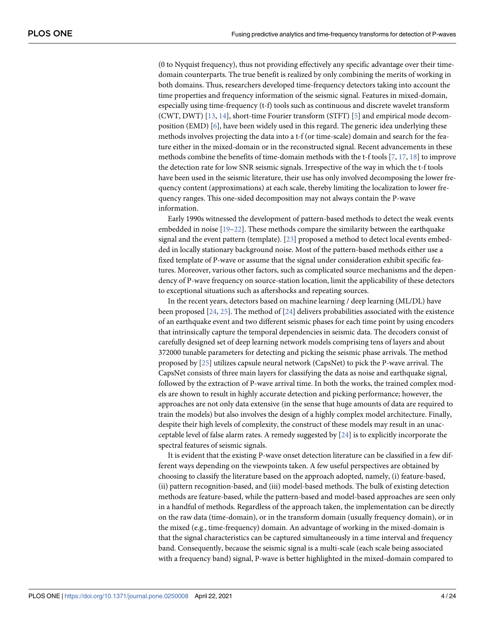<span id="page-3-0"></span>(0 to Nyquist frequency), thus not providing effectively any specific advantage over their timedomain counterparts. The true benefit is realized by only combining the merits of working in both domains. Thus, researchers developed time-frequency detectors taking into account the time properties and frequency information of the seismic signal. Features in mixed-domain, especially using time-frequency (t-f) tools such as continuous and discrete wavelet transform (CWT, DWT) [\[13,](#page-22-0) [14\]](#page-22-0), short-time Fourier transform (STFT) [\[5\]](#page-22-0) and empirical mode decomposition (EMD) [\[6](#page-22-0)], have been widely used in this regard. The generic idea underlying these methods involves projecting the data into a t-f (or time-scale) domain and search for the feature either in the mixed-domain or in the reconstructed signal. Recent advancements in these methods combine the benefits of time-domain methods with the t-f tools [\[7,](#page-22-0) [17,](#page-22-0) [18\]](#page-22-0) to improve the detection rate for low SNR seismic signals. Irrespective of the way in which the t-f tools have been used in the seismic literature, their use has only involved decomposing the lower frequency content (approximations) at each scale, thereby limiting the localization to lower frequency ranges. This one-sided decomposition may not always contain the P-wave information.

Early 1990s witnessed the development of pattern-based methods to detect the weak events embedded in noise [\[19–22](#page-22-0)]. These methods compare the similarity between the earthquake signal and the event pattern (template). [\[23\]](#page-22-0) proposed a method to detect local events embedded in locally stationary background noise. Most of the pattern-based methods either use a fixed template of P-wave or assume that the signal under consideration exhibit specific features. Moreover, various other factors, such as complicated source mechanisms and the dependency of P-wave frequency on source-station location, limit the applicability of these detectors to exceptional situations such as aftershocks and repeating sources.

In the recent years, detectors based on machine learning / deep learning (ML/DL) have been proposed [\[24,](#page-22-0) [25\]](#page-22-0). The method of [\[24\]](#page-22-0) delivers probabilities associated with the existence of an earthquake event and two different seismic phases for each time point by using encoders that intrinsically capture the temporal dependencies in seismic data. The decoders consist of carefully designed set of deep learning network models comprising tens of layers and about 372000 tunable parameters for detecting and picking the seismic phase arrivals. The method proposed by [[25](#page-22-0)] utilizes capsule neural network (CapsNet) to pick the P-wave arrival. The CapsNet consists of three main layers for classifying the data as noise and earthquake signal, followed by the extraction of P-wave arrival time. In both the works, the trained complex models are shown to result in highly accurate detection and picking performance; however, the approaches are not only data extensive (in the sense that huge amounts of data are required to train the models) but also involves the design of a highly complex model architecture. Finally, despite their high levels of complexity, the construct of these models may result in an unacceptable level of false alarm rates. A remedy suggested by  $[24]$  $[24]$  $[24]$  is to explicitly incorporate the spectral features of seismic signals.

It is evident that the existing P-wave onset detection literature can be classified in a few different ways depending on the viewpoints taken. A few useful perspectives are obtained by choosing to classify the literature based on the approach adopted, namely, (i) feature-based, (ii) pattern recognition-based, and (iii) model-based methods. The bulk of existing detection methods are feature-based, while the pattern-based and model-based approaches are seen only in a handful of methods. Regardless of the approach taken, the implementation can be directly on the raw data (time-domain), or in the transform domain (usually frequency domain), or in the mixed (e.g., time-frequency) domain. An advantage of working in the mixed-domain is that the signal characteristics can be captured simultaneously in a time interval and frequency band. Consequently, because the seismic signal is a multi-scale (each scale being associated with a frequency band) signal, P-wave is better highlighted in the mixed-domain compared to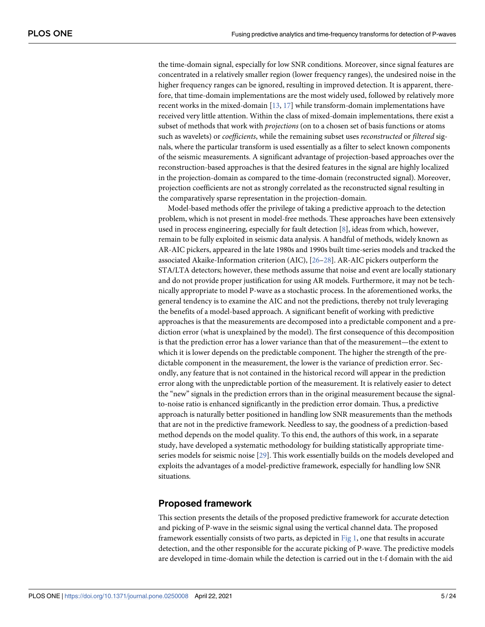<span id="page-4-0"></span>the time-domain signal, especially for low SNR conditions. Moreover, since signal features are concentrated in a relatively smaller region (lower frequency ranges), the undesired noise in the higher frequency ranges can be ignored, resulting in improved detection. It is apparent, therefore, that time-domain implementations are the most widely used, followed by relatively more recent works in the mixed-domain [[13](#page-22-0), [17](#page-22-0)] while transform-domain implementations have received very little attention. Within the class of mixed-domain implementations, there exist a subset of methods that work with projections (on to a chosen set of basis functions or atoms such as wavelets) or *coefficients*, while the remaining subset uses *reconstructed* or *filtered* signals, where the particular transform is used essentially as a filter to select known components of the seismic measurements. A significant advantage of projection-based approaches over the reconstruction-based approaches is that the desired features in the signal are highly localized in the projection-domain as compared to the time-domain (reconstructed signal). Moreover, projection coefficients are not as strongly correlated as the reconstructed signal resulting in the comparatively sparse representation in the projection-domain.

Model-based methods offer the privilege of taking a predictive approach to the detection problem, which is not present in model-free methods. These approaches have been extensively used in process engineering, especially for fault detection [[8](#page-22-0)], ideas from which, however, remain to be fully exploited in seismic data analysis. A handful of methods, widely known as AR-AIC pickers, appeared in the late 1980s and 1990s built time-series models and tracked the associated Akaike-Information criterion (AIC), [\[26–28](#page-23-0)]. AR-AIC pickers outperform the STA/LTA detectors; however, these methods assume that noise and event are locally stationary and do not provide proper justification for using AR models. Furthermore, it may not be technically appropriate to model P-wave as a stochastic process. In the aforementioned works, the general tendency is to examine the AIC and not the predictions, thereby not truly leveraging the benefits of a model-based approach. A significant benefit of working with predictive approaches is that the measurements are decomposed into a predictable component and a prediction error (what is unexplained by the model). The first consequence of this decomposition is that the prediction error has a lower variance than that of the measurement—the extent to which it is lower depends on the predictable component. The higher the strength of the predictable component in the measurement, the lower is the variance of prediction error. Secondly, any feature that is not contained in the historical record will appear in the prediction error along with the unpredictable portion of the measurement. It is relatively easier to detect the "new" signals in the prediction errors than in the original measurement because the signalto-noise ratio is enhanced significantly in the prediction error domain. Thus, a predictive approach is naturally better positioned in handling low SNR measurements than the methods that are not in the predictive framework. Needless to say, the goodness of a prediction-based method depends on the model quality. To this end, the authors of this work, in a separate study, have developed a systematic methodology for building statistically appropriate timeseries models for seismic noise [\[29\]](#page-23-0). This work essentially builds on the models developed and exploits the advantages of a model-predictive framework, especially for handling low SNR situations.

#### **Proposed framework**

This section presents the details of the proposed predictive framework for accurate detection and picking of P-wave in the seismic signal using the vertical channel data. The proposed framework essentially consists of two parts, as depicted in [Fig 1](#page-5-0), one that results in accurate detection, and the other responsible for the accurate picking of P-wave. The predictive models are developed in time-domain while the detection is carried out in the t-f domain with the aid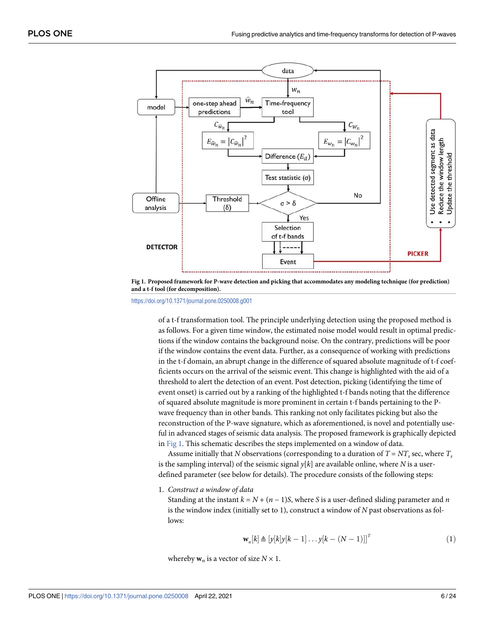<span id="page-5-0"></span>

**[Fig 1. P](#page-4-0)roposed framework for P-wave detection and picking that accommodates any modeling technique (for prediction) and a t-f tool (for decomposition).**

of a t-f transformation tool. The principle underlying detection using the proposed method is as follows. For a given time window, the estimated noise model would result in optimal predictions if the window contains the background noise. On the contrary, predictions will be poor if the window contains the event data. Further, as a consequence of working with predictions in the t-f domain, an abrupt change in the difference of squared absolute magnitude of t-f coefficients occurs on the arrival of the seismic event. This change is highlighted with the aid of a threshold to alert the detection of an event. Post detection, picking (identifying the time of event onset) is carried out by a ranking of the highlighted t-f bands noting that the difference of squared absolute magnitude is more prominent in certain t-f bands pertaining to the Pwave frequency than in other bands. This ranking not only facilitates picking but also the reconstruction of the P-wave signature, which as aforementioned, is novel and potentially useful in advanced stages of seismic data analysis. The proposed framework is graphically depicted in Fig 1. This schematic describes the steps implemented on a window of data.

Assume initially that N observations (corresponding to a duration of  $T = NT$ , sec, where  $T_s$ is the sampling interval) of the seismic signal  $y[k]$  are available online, where N is a userdefined parameter (see below for details). The procedure consists of the following steps:

1. Construct a window of data

Standing at the instant  $k = N + (n - 1)S$ , where S is a user-defined sliding parameter and n is the window index (initially set to 1), construct a window of N past observations as follows:

$$
\mathbf{w}_n[k] \triangleq \left[ y[k]y[k-1] \dots y[k-(N-1)] \right]^T \tag{1}
$$

whereby  $w_n$  is a vector of size  $N \times 1$ .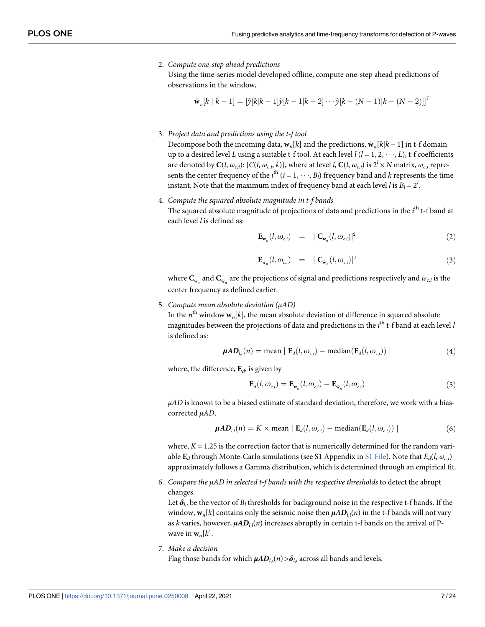2. Compute one-step ahead predictions

Using the time-series model developed offline, compute one-step ahead predictions of observations in the window,

$$
\hat{\mathbf{w}}_n[k \mid k-1] = [\hat{y}[k \mid k-1]\hat{y}[k-1 \mid k-2] \cdots \hat{y}[k-(N-1) \mid k-(N-2)]]^T
$$

3. Project data and predictions using the t-f tool

Decompose both the incoming data,  $\mathbf{w}_n[k]$  and the predictions,  $\hat{\mathbf{w}}_n[k|k - 1]$  in t-f domain up to a desired level L using a suitable t-f tool. At each level  $l$  ( $l = 1, 2, \dots, L$ ), t-f coefficients are denoted by  $\mathbf{C}(l,\omega_{c,i})$ : { $C(l,\omega_{c,i},k)$ }, where at level *l*,  $\mathbf{C}(l,\omega_{c,i})$  is  $2^l \times N$  matrix,  $\omega_{c,i}$  represents the center frequency of the  $i^{\text{th}}$   $(i = 1, \dots, B_l)$  frequency band and k represents the time instant. Note that the maximum index of frequency band at each level l is  $B_l = 2^l$ .

4. Compute the squared absolute magnitude in t-f bands

The squared absolute magnitude of projections of data and predictions in the *i*<sup>th</sup> t-f band at each level *l* is defined as:

$$
\mathbf{E}_{\mathbf{w}_n}(l, \omega_{c,i}) = |\mathbf{C}_{\mathbf{w}_n}(l, \omega_{c,i})|^2
$$
 (2)

$$
\mathbf{E}_{\hat{\mathbf{w}}_n}(l, \omega_{c,i}) = |\mathbf{C}_{\hat{\mathbf{w}}_n}(l, \omega_{c,i})|^2
$$
\n(3)

where  $\mathbf{C}_{\mathbf{w}_n}$  and  $\mathbf{C}_{\hat{\mathbf{w}}_n}$  are the projections of signal and predictions respectively and  $\omega_{c,i}$  is the center frequency as defined earlier.

5. Compute mean absolute deviation (μAD)

In the  $n^{\text{th}}$  window  $\mathbf{w}_n[k]$ , the mean absolute deviation of difference in squared absolute magnitudes between the projections of data and predictions in the  $i^{\text{th}}$  t-f band at each level  $l$ is defined as:

$$
\mu AD_{l,i}(n) = \text{mean} \mid \mathbf{E}_d(l, \omega_{c,i}) - \text{median}(\mathbf{E}_d(l, \omega_{c,i})) \mid
$$
\n(4)

where, the difference,  $\mathbf{E}_d$ , is given by

$$
\mathbf{E}_{d}(l, \omega_{c,i}) = \mathbf{E}_{\mathbf{w}_{n}}(l, \omega_{c,i}) - \mathbf{E}_{\hat{\mathbf{w}}_{n}}(l, \omega_{c,i})
$$
\n(5)

 $\mu AD$  is known to be a biased estimate of standard deviation, therefore, we work with a biascorrected μAD,

$$
\mu AD_{l,i}(n) = K \times \text{mean} \mid \mathbf{E}_d(l, \omega_{c,i}) - \text{median}(\mathbf{E}_d(l, \omega_{c,i})) \mid
$$
 (6)

where,  $K = 1.25$  is the correction factor that is numerically determined for the random variable  $\mathbf{E}_d$  through Monte-Carlo simulations (see S1 Appendix in <u>S1 File</u>). Note that  $E_d(l, \omega_{c,i})$ approximately follows a Gamma distribution, which is determined through an empirical fit.

6. Compare the μAD in selected t-f bands with the respective thresholds to detect the abrupt changes.

Let  $\bm{\delta}_{l,i}$  be the vector of  $B_l$  thresholds for background noise in the respective t-f bands. If the window,  $\mathbf{w}_n[k]$  contains only the seismic noise then  $\mu A \mathbf{D}_{l,i}(n)$  in the t-f bands will not vary as  $k$  varies, however,  $\pmb{\mu A D}_{l,i}(n)$  increases abruptly in certain t-f bands on the arrival of Pwave in  $w_n[k]$ .

7. Make a decision Flag those bands for which  $\mu AD_{l,i}(n) > \delta_{l,i}$  across all bands and levels.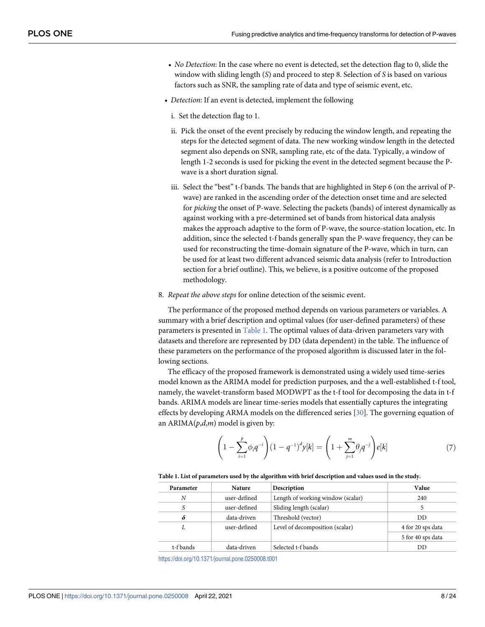- <span id="page-7-0"></span>• No Detection: In the case where no event is detected, set the detection flag to 0, slide the window with sliding length (S) and proceed to step 8. Selection of S is based on various factors such as SNR, the sampling rate of data and type of seismic event, etc.
- Detection: If an event is detected, implement the following
	- i. Set the detection flag to 1.
	- ii. Pick the onset of the event precisely by reducing the window length, and repeating the steps for the detected segment of data. The new working window length in the detected segment also depends on SNR, sampling rate, etc of the data. Typically, a window of length 1-2 seconds is used for picking the event in the detected segment because the Pwave is a short duration signal.
	- iii. Select the "best" t-f bands. The bands that are highlighted in Step 6 (on the arrival of Pwave) are ranked in the ascending order of the detection onset time and are selected for picking the onset of P-wave. Selecting the packets (bands) of interest dynamically as against working with a pre-determined set of bands from historical data analysis makes the approach adaptive to the form of P-wave, the source-station location, etc. In addition, since the selected t-f bands generally span the P-wave frequency, they can be used for reconstructing the time-domain signature of the P-wave, which in turn, can be used for at least two different advanced seismic data analysis (refer to Introduction section for a brief outline). This, we believe, is a positive outcome of the proposed methodology.
- 8. Repeat the above steps for online detection of the seismic event.

The performance of the proposed method depends on various parameters or variables. A summary with a brief description and optimal values (for user-defined parameters) of these parameters is presented in Table 1. The optimal values of data-driven parameters vary with datasets and therefore are represented by DD (data dependent) in the table. The influence of these parameters on the performance of the proposed algorithm is discussed later in the following sections.

The efficacy of the proposed framework is demonstrated using a widely used time-series model known as the ARIMA model for prediction purposes, and the a well-established t-f tool, namely, the wavelet-transform based MODWPT as the t-f tool for decomposing the data in t-f bands. ARIMA models are linear time-series models that essentially captures the integrating effects by developing ARMA models on the differenced series [[30](#page-23-0)]. The governing equation of an  $ARIMA(p,d,m)$  model is given by:

$$
\left(1 - \sum_{i=1}^{p} \phi_i q^{-i}\right) (1 - q^{-1})^d y[k] = \left(1 + \sum_{j=1}^{m} \theta_j q^{-j}\right) e[k] \tag{7}
$$

#### **Table 1. List of parameters used by the algorithm with brief description and values used in the study.**

| Parameter | <b>Nature</b> | Description                       | Value             |
|-----------|---------------|-----------------------------------|-------------------|
| N         | user-defined  | Length of working window (scalar) | 240               |
| S         | user-defined  | Sliding length (scalar)           | 5                 |
| δ         | data-driven   | Threshold (vector)                | DD                |
| L         | user-defined  | Level of decomposition (scalar)   | 4 for 20 sps data |
|           |               |                                   | 5 for 40 sps data |
| t-f bands | data-driven   | Selected t-f bands                | DD                |
|           |               |                                   |                   |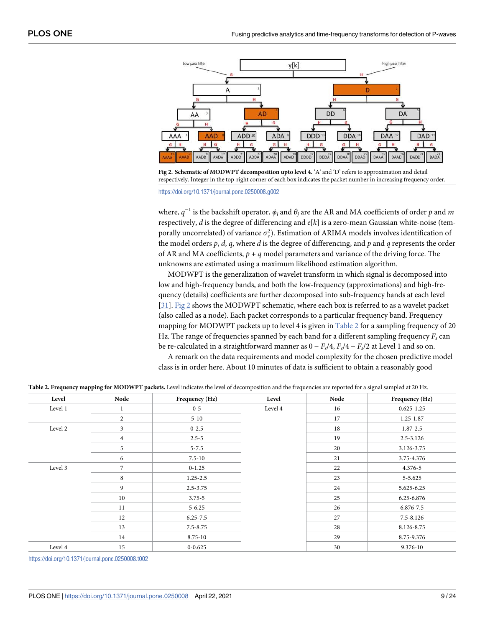<span id="page-8-0"></span>

**Fig 2. Schematic of MODWPT decomposition upto level 4.** 'A' and 'D' refers to approximation and detail respectively. Integer in the top-right corner of each box indicates the packet number in increasing frequency order. <https://doi.org/10.1371/journal.pone.0250008.g002>

where,  $q^{-1}$  is the backshift operator,  $\phi_i$  and  $\theta_j$  are the AR and MA coefficients of order  $p$  and  $m$ respectively,  $d$  is the degree of differencing and  $e[k]$  is a zero-mean Gaussian white-noise (temporally uncorrelated) of variance  $\sigma_e^2$ ). Estimation of ARIMA models involves identification of the model orders  $p$ ,  $d$ ,  $q$ , where  $d$  is the degree of differencing, and  $p$  and  $q$  represents the order of AR and MA coefficients,  $p + q$  model parameters and variance of the driving force. The unknowns are estimated using a maximum likelihood estimation algorithm.

MODWPT is the generalization of wavelet transform in which signal is decomposed into low and high-frequency bands, and both the low-frequency (approximations) and high-frequency (details) coefficients are further decomposed into sub-frequency bands at each level [\[31\]](#page-23-0). Fig 2 shows the MODWPT schematic, where each box is referred to as a wavelet packet (also called as a node). Each packet corresponds to a particular frequency band. Frequency mapping for MODWPT packets up to level 4 is given in **Table 2** for a sampling frequency of 20 Hz. The range of frequencies spanned by each band for a different sampling frequency  $F_s$  can be re-calculated in a straightforward manner as  $0 - F_s/4$ ,  $F_s/4 - F_s/2$  at Level 1 and so on.

A remark on the data requirements and model complexity for the chosen predictive model class is in order here. About 10 minutes of data is sufficient to obtain a reasonably good

| Level   | Node           | Frequency (Hz) | Level   | Node | Frequency (Hz) |
|---------|----------------|----------------|---------|------|----------------|
| Level 1 | 1              | $0 - 5$        | Level 4 | 16   | $0.625 - 1.25$ |
|         | $\mathbf{2}$   | $5 - 10$       |         | 17   | 1.25-1.87      |
| Level 2 | 3              | $0 - 2.5$      |         | 18   | 1.87-2.5       |
|         | $\,4$          | $2.5 - 5$      |         | 19   | $2.5 - 3.126$  |
|         | 5              | $5 - 7.5$      |         | 20   | 3.126-3.75     |
|         | 6              | $7.5 - 10$     |         | 21   | 3.75-4.376     |
| Level 3 | $\overline{7}$ | $0 - 1.25$     |         | 22   | 4.376-5        |
|         | $\,$ 8 $\,$    | $1.25 - 2.5$   |         | 23   | 5-5.625        |
|         | 9              | $2.5 - 3.75$   |         | 24   | 5.625-6.25     |
|         | 10             | $3.75 - 5$     |         | 25   | 6.25-6.876     |
|         | 11             | $5 - 6.25$     |         | 26   | 6.876-7.5      |
|         | 12             | $6.25 - 7.5$   |         | 27   | $7.5 - 8.126$  |
|         | 13             | $7.5 - 8.75$   |         | 28   | 8.126-8.75     |
|         | 14             | 8.75-10        |         | 29   | 8.75-9.376     |
| Level 4 | 15             | $0 - 0.625$    |         | 30   | 9.376-10       |

**Table 2. Frequency mapping for MODWPT packets.** Level indicates the level of decomposition and the frequencies are reported for a signal sampled at 20 Hz.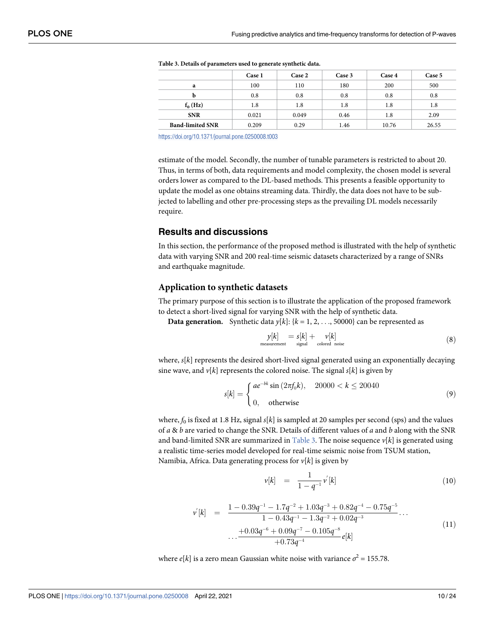|                         | Case 1 | Case 2  | Case 3 | Case 4 | Case 5 |
|-------------------------|--------|---------|--------|--------|--------|
| a                       | 100    | 110     | 180    | 200    | 500    |
| b                       | 0.8    | 0.8     | 0.8    | 0.8    | 0.8    |
| $f_0(Hz)$               | 1.8    | $1.8\,$ | 1.8    | 1.8    | 1.8    |
| <b>SNR</b>              | 0.021  | 0.049   | 0.46   | 1.8    | 2.09   |
| <b>Band-limited SNR</b> | 0.209  | 0.29    | 1.46   | 10.76  | 26.55  |

<span id="page-9-0"></span>

| Table 3. Details of parameters used to generate synthetic data. |  |
|-----------------------------------------------------------------|--|
|-----------------------------------------------------------------|--|

estimate of the model. Secondly, the number of tunable parameters is restricted to about 20. Thus, in terms of both, data requirements and model complexity, the chosen model is several orders lower as compared to the DL-based methods. This presents a feasible opportunity to update the model as one obtains streaming data. Thirdly, the data does not have to be subjected to labelling and other pre-processing steps as the prevailing DL models necessarily require.

## **Results and discussions**

In this section, the performance of the proposed method is illustrated with the help of synthetic data with varying SNR and 200 real-time seismic datasets characterized by a range of SNRs and earthquake magnitude.

#### **Application to synthetic datasets**

The primary purpose of this section is to illustrate the application of the proposed framework to detect a short-lived signal for varying SNR with the help of synthetic data.

**Data generation.** Synthetic data  $y[k]: \{k = 1, 2, ..., 50000\}$  can be represented as

$$
y[k] = s[k] + \nu[k] \nmeasurement signal colored noise
$$
\n(8)

where,  $s[k]$  represents the desired short-lived signal generated using an exponentially decaying sine wave, and  $v[k]$  represents the colored noise. The signal  $s[k]$  is given by

$$
s[k] = \begin{cases} ae^{-bk}\sin(2\pi f_0 k), & 20000 < k \le 20040\\ 0, & \text{otherwise} \end{cases}
$$
(9)

where,  $f_0$  is fixed at 1.8 Hz, signal s[k] is sampled at 20 samples per second (sps) and the values of  $a \& b$  are varied to change the SNR. Details of different values of  $a$  and  $b$  along with the SNR and band-limited SNR are summarized in Table 3. The noise sequence  $v[k]$  is generated using a realistic time-series model developed for real-time seismic noise from TSUM station, Namibia, Africa. Data generating process for  $v[k]$  is given by

$$
\nu[k] = \frac{1}{1 - q^{-1}} \nu'[k] \tag{10}
$$

$$
v'[k] = \frac{1 - 0.39q^{-1} - 1.7q^{-2} + 1.03q^{-3} + 0.82q^{-4} - 0.75q^{-5}}{1 - 0.43q^{-1} - 1.3q^{-2} + 0.02q^{-3}} \dots
$$
  
 
$$
\dots + \frac{+0.03q^{-6} + 0.09q^{-7} - 0.105q^{-8}}{+0.73q^{-4}} e[k]
$$
 (11)

where  $e[k]$  is a zero mean Gaussian white noise with variance  $\sigma^2 = 155.78$ .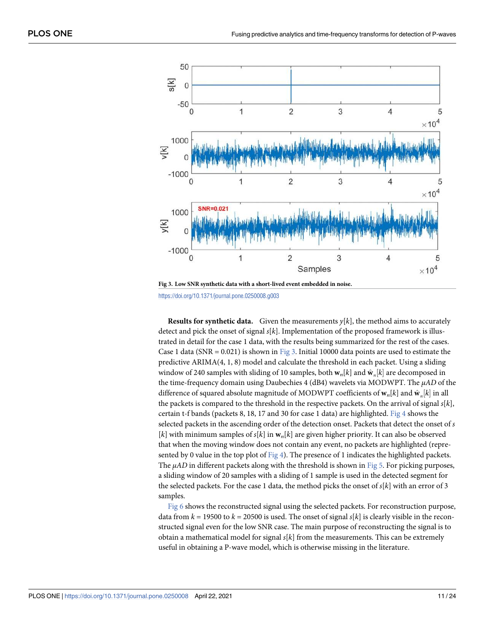<span id="page-10-0"></span>

<https://doi.org/10.1371/journal.pone.0250008.g003>

**Results for synthetic data.** Given the measurements  $y[k]$ , the method aims to accurately detect and pick the onset of signal  $s[k]$ . Implementation of the proposed framework is illustrated in detail for the case 1 data, with the results being summarized for the rest of the cases. Case 1 data (SNR =  $0.021$ ) is shown in Fig 3. Initial 10000 data points are used to estimate the predictive ARIMA(4, 1, 8) model and calculate the threshold in each packet. Using a sliding window of 240 samples with sliding of 10 samples, both  $\mathbf{w}_n[k]$  and  $\hat{\mathbf{w}}_n[k]$  are decomposed in the time-frequency domain using Daubechies 4 (dB4) wavelets via MODWPT. The  $\mu AD$  of the difference of squared absolute magnitude of MODWPT coefficients of  $\mathbf{w}_n[k]$  and  $\hat{\mathbf{w}}_n[k]$  in all the packets is compared to the threshold in the respective packets. On the arrival of signal  $s[k]$ , certain t-f bands (packets 8, 18, 17 and 30 for case 1 data) are highlighted. Fig  $4$  shows the selected packets in the ascending order of the detection onset. Packets that detect the onset of s [k] with minimum samples of  $s[k]$  in  $w_n[k]$  are given higher priority. It can also be observed that when the moving window does not contain any event, no packets are highlighted (represented by 0 value in the top plot of  $Fig 4$ ). The presence of 1 indicates the highlighted packets. The  $\mu AD$  in different packets along with the threshold is shown in [Fig 5](#page-11-0). For picking purposes, a sliding window of 20 samples with a sliding of 1 sample is used in the detected segment for the selected packets. For the case 1 data, the method picks the onset of  $s[k]$  with an error of 3 samples.

[Fig 6](#page-12-0) shows the reconstructed signal using the selected packets. For reconstruction purpose, data from  $k = 19500$  to  $k = 20500$  is used. The onset of signal  $s[k]$  is clearly visible in the reconstructed signal even for the low SNR case. The main purpose of reconstructing the signal is to obtain a mathematical model for signal  $s[k]$  from the measurements. This can be extremely useful in obtaining a P-wave model, which is otherwise missing in the literature.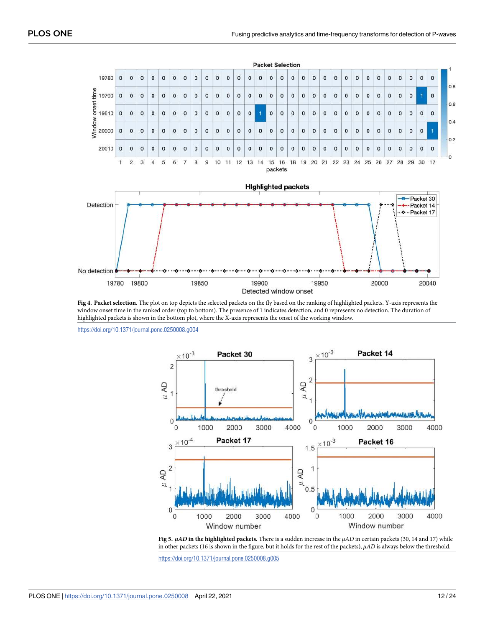<span id="page-11-0"></span>

**[Fig 4. P](#page-10-0)acket selection.** The plot on top depicts the selected packets on the fly based on the ranking of highlighted packets. Y-axis represents the window onset time in the ranked order (top to bottom). The presence of 1 indicates detection, and 0 represents no detection. The duration of highlighted packets is shown in the bottom plot, where the X-axis represents the onset of the working window.

<https://doi.org/10.1371/journal.pone.0250008.g004>



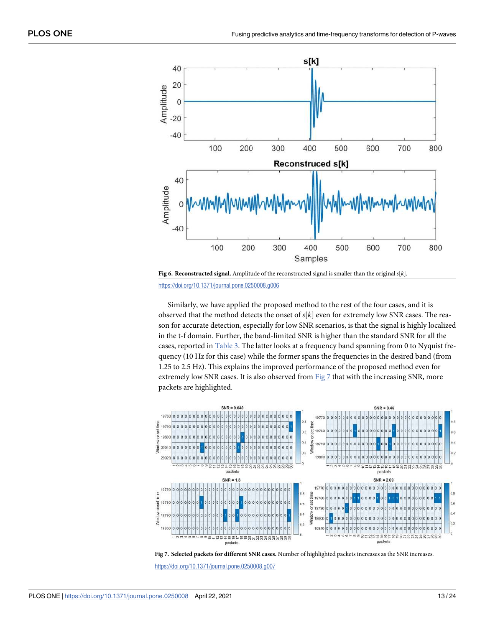<span id="page-12-0"></span>



Similarly, we have applied the proposed method to the rest of the four cases, and it is observed that the method detects the onset of  $s[k]$  even for extremely low SNR cases. The reason for accurate detection, especially for low SNR scenarios, is that the signal is highly localized in the t-f domain. Further, the band-limited SNR is higher than the standard SNR for all the cases, reported in [Table 3.](#page-9-0) The latter looks at a frequency band spanning from 0 to Nyquist frequency (10 Hz for this case) while the former spans the frequencies in the desired band (from 1.25 to 2.5 Hz). This explains the improved performance of the proposed method even for extremely low SNR cases. It is also observed from Fig  $7$  that with the increasing SNR, more packets are highlighted.



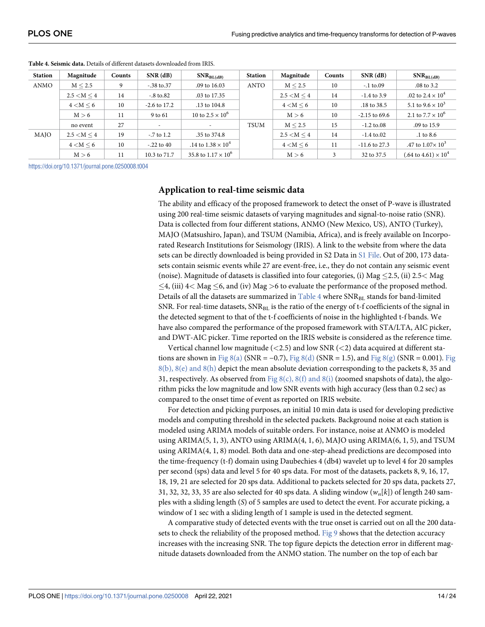| <b>Station</b> | Magnitude        | <b>Counts</b> | $SNR$ (dB)             | $SNR_{BL(dB)}$             | <b>Station</b> | Magnitude      | <b>Counts</b> | $SNR$ (dB)              | $SNR_{BL(dB)}$                       |
|----------------|------------------|---------------|------------------------|----------------------------|----------------|----------------|---------------|-------------------------|--------------------------------------|
| <b>ANMO</b>    | M < 2.5          | 9             | $-.38 \text{ to } .37$ | .09 to 16.03               | <b>ANTO</b>    | M < 2.5        | 10            | $-1$ to 09              | .08 to 3.2                           |
|                | $2.5 < M \leq 4$ | 14            | $-8 \text{ to } 82$    | .03 to 17.35               |                | 2.5 < M < 4    | 14            | $-1.4$ to 3.9           | .02 to $2.4 \times 10^4$             |
|                | $4 < M \leq 6$   | 10            | $-2.6$ to 17.2         | .13 to 104.8               |                | $4 < M \leq 6$ | 10            | .18 to 38.5             | 5.1 to $9.6 \times 10^3$             |
|                | M > 6            | 11            | 9 to 61                | 10 to $2.5 \times 10^6$    |                | M > 6          | 10            | $-2.15$ to 69.6         | 2.1 to $7.7 \times 10^6$             |
|                | no event         | 27            |                        |                            | TSUM           | M < 2.5        | 15            | $-1.2 \text{ to } 0.08$ | .09 to 15.9                          |
| <b>MAIO</b>    | 2.5 < M < 4      | 19            | $-7$ to 1.2            | .35 to 374.8               |                | 2.5 < M < 4    | 14            | $-1.4 \text{ to } 0.02$ | $.1$ to $8.6$                        |
|                | $4 < M \leq 6$   | 10            | $-.22$ to 40           | .14 to $1.38 \times 10^4$  |                | $4 < M \leq 6$ | 11            | $-11.6$ to 27.3         | .47 to $1.07 \times 10^3$            |
|                | M > 6            | 11            | 10.3 to 71.7           | 35.8 to $1.17 \times 10^6$ |                | M > 6          | 3             | 32 to 37.5              | $(.64 \text{ to } 4.61) \times 10^4$ |

<span id="page-13-0"></span>**Table 4. Seismic data.** Details of different datasets downloaded from IRIS.

#### **Application to real-time seismic data**

The ability and efficacy of the proposed framework to detect the onset of P-wave is illustrated using 200 real-time seismic datasets of varying magnitudes and signal-to-noise ratio (SNR). Data is collected from four different stations, ANMO (New Mexico, US), ANTO (Turkey), MAJO (Matsushiro, Japan), and TSUM (Namibia, Africa), and is freely available on Incorporated Research Institutions for Seismology (IRIS). A link to the website from where the data sets can be directly downloaded is being provided in S2 Data in [S1 File](#page-21-0). Out of 200, 173 datasets contain seismic events while 27 are event-free, i.e., they do not contain any seismic event (noise). Magnitude of datasets is classified into four categories, (i) Mag �2.5, (ii) 2.5*<* Mag �4, (iii) 4*<* Mag �6, and (iv) Mag *>*6 to evaluate the performance of the proposed method. Details of all the datasets are summarized in  $Table 4$  where  $SNR_{BL}$  stands for band-limited SNR. For real-time datasets,  $SNR_{BL}$  is the ratio of the energy of t-f coefficients of the signal in the detected segment to that of the t-f coefficients of noise in the highlighted t-f bands. We have also compared the performance of the proposed framework with STA/LTA, AIC picker, and DWT-AIC picker. Time reported on the IRIS website is considered as the reference time.

Vertical channel low magnitude (*<*2.5) and low SNR (*<*2) data acquired at different sta-tions are shown in [Fig](#page-14-0)  $8(a)$  (SNR = -0.7), Fig  $8(d)$  (SNR = 1.5), and Fig  $8(g)$  (SNR = 0.001). Fig  $8(b)$ ,  $8(e)$  and  $8(h)$  depict the mean absolute deviation corresponding to the packets 8, 35 and 31, respectively. As observed from Fig  $8(c)$ ,  $8(f)$  and  $8(i)$  (zoomed snapshots of data), the algorithm picks the low magnitude and low SNR events with high accuracy (less than 0.2 sec) as compared to the onset time of event as reported on IRIS website.

For detection and picking purposes, an initial 10 min data is used for developing predictive models and computing threshold in the selected packets. Background noise at each station is modeled using ARIMA models of suitable orders. For instance, noise at ANMO is modeled using ARIMA(5, 1, 3), ANTO using ARIMA(4, 1, 6), MAJO using ARIMA(6, 1, 5), and TSUM using ARIMA(4, 1, 8) model. Both data and one-step-ahead predictions are decomposed into the time-frequency (t-f) domain using Daubechies 4 (db4) wavelet up to level 4 for 20 samples per second (sps) data and level 5 for 40 sps data. For most of the datasets, packets 8, 9, 16, 17, 18, 19, 21 are selected for 20 sps data. Additional to packets selected for 20 sps data, packets 27, 31, 32, 32, 33, 35 are also selected for 40 sps data. A sliding window  $(w_n[k])$  of length 240 samples with a sliding length (S) of 5 samples are used to detect the event. For accurate picking, a window of 1 sec with a sliding length of 1 sample is used in the detected segment.

A comparative study of detected events with the true onset is carried out on all the 200 datasets to check the reliability of the proposed method. [Fig 9](#page-14-0) shows that the detection accuracy increases with the increasing SNR. The top figure depicts the detection error in different magnitude datasets downloaded from the ANMO station. The number on the top of each bar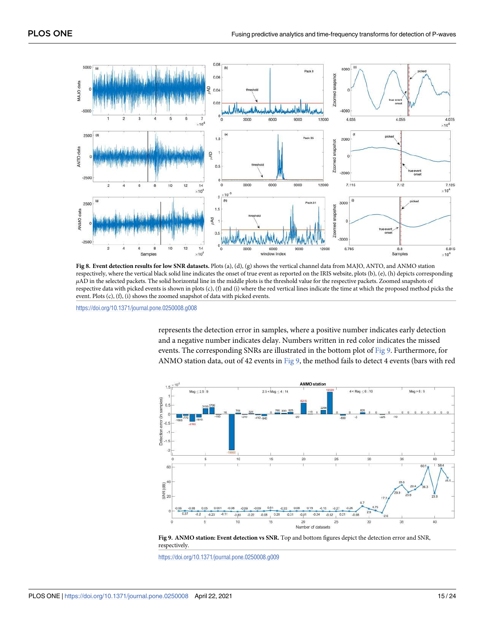<span id="page-14-0"></span>

**[Fig 8. E](#page-13-0)vent detection results for low SNR datasets.** Plots (a), (d), (g) shows the vertical channel data from MAJO, ANTO, and ANMO station respectively, where the vertical black solid line indicates the onset of true event as reported on the IRIS website, plots (b), (e), (h) depicts corresponding μAD in the selected packets. The solid horizontal line in the middle plots is the threshold value for the respective packets. Zoomed snapshots of respective data with picked events is shown in plots (c), (f) and (i) where the red vertical lines indicate the time at which the proposed method picks the event. Plots (c), (f), (i) shows the zoomed snapshot of data with picked events.

represents the detection error in samples, where a positive number indicates early detection and a negative number indicates delay. Numbers written in red color indicates the missed events. The corresponding SNRs are illustrated in the bottom plot of  $Fig 9$ . Furthermore, for ANMO station data, out of 42 events in Fig 9, the method fails to detect 4 events (bars with red



**[Fig 9. A](#page-13-0)NMO station: Event detection vs SNR.** Top and bottom figures depict the detection error and SNR, respectively.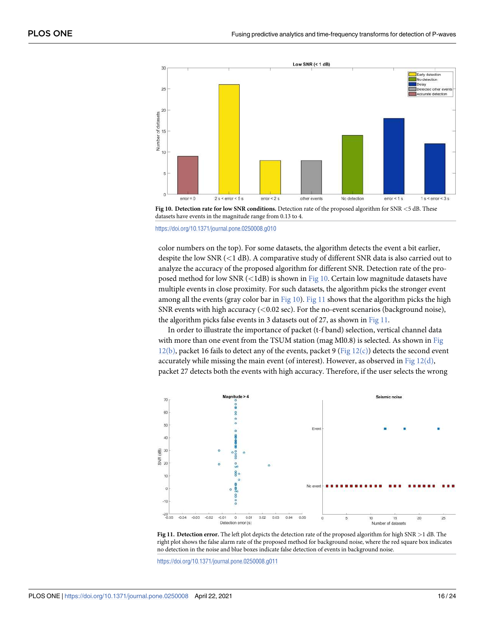<span id="page-15-0"></span>

**Fig 10. Detection rate for low SNR conditions.** Detection rate of the proposed algorithm for SNR *<*5 dB. These datasets have events in the magnitude range from 0.13 to 4.

color numbers on the top). For some datasets, the algorithm detects the event a bit earlier, despite the low SNR (*<*1 dB). A comparative study of different SNR data is also carried out to analyze the accuracy of the proposed algorithm for different SNR. Detection rate of the proposed method for low SNR (*<*1dB) is shown in Fig 10. Certain low magnitude datasets have multiple events in close proximity. For such datasets, the algorithm picks the stronger event among all the events (gray color bar in Fig  $10$ ). Fig  $11$  shows that the algorithm picks the high SNR events with high accuracy (*<*0.02 sec). For the no-event scenarios (background noise), the algorithm picks false events in 3 datasets out of 27, as shown in Fig 11.

In order to illustrate the importance of packet (t-f band) selection, vertical channel data with more than one event from the TSUM station (mag Ml0.8) is selected. As shown in [Fig](#page-16-0)  $12(b)$ , packet 16 fails to detect any of the events, packet 9 (Fig  $12(c)$ ) detects the second event accurately while missing the main event (of interest). However, as observed in Fig  $12(d)$ , packet 27 detects both the events with high accuracy. Therefore, if the user selects the wrong



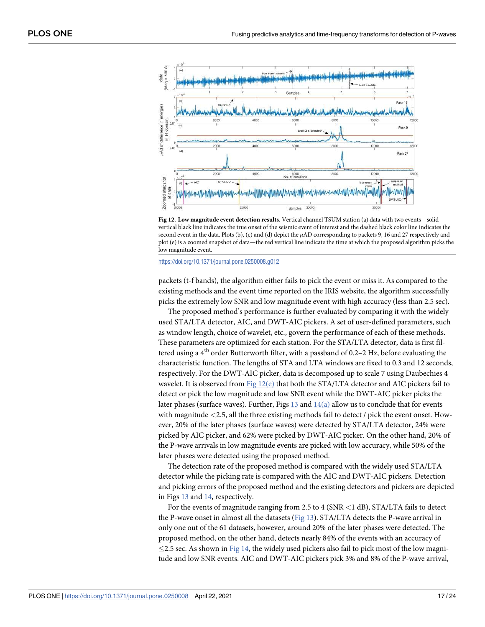<span id="page-16-0"></span>

**[Fig 12. L](#page-15-0)ow magnitude event detection results.** Vertical channel TSUM station (a) data with two events—solid vertical black line indicates the true onset of the seismic event of interest and the dashed black color line indicates the second event in the data. Plots (b), (c) and (d) depict the μAD corresponding to packets 9, 16 and 27 respectively and plot (e) is a zoomed snapshot of data—the red vertical line indicate the time at which the proposed algorithm picks the low magnitude event.

packets (t-f bands), the algorithm either fails to pick the event or miss it. As compared to the existing methods and the event time reported on the IRIS website, the algorithm successfully picks the extremely low SNR and low magnitude event with high accuracy (less than 2.5 sec).

The proposed method's performance is further evaluated by comparing it with the widely used STA/LTA detector, AIC, and DWT-AIC pickers. A set of user-defined parameters, such as window length, choice of wavelet, etc., govern the performance of each of these methods. These parameters are optimized for each station. For the STA/LTA detector, data is first filtered using a  $4<sup>th</sup>$  order Butterworth filter, with a passband of 0.2–2 Hz, before evaluating the characteristic function. The lengths of STA and LTA windows are fixed to 0.3 and 12 seconds, respectively. For the DWT-AIC picker, data is decomposed up to scale 7 using Daubechies 4 wavelet. It is observed from Fig  $12(e)$  that both the STA/LTA detector and AIC pickers fail to detect or pick the low magnitude and low SNR event while the DWT-AIC picker picks the later phases (surface waves). Further, Figs  $13$  and  $14(a)$  allow us to conclude that for events with magnitude *<*2.5, all the three existing methods fail to detect / pick the event onset. However, 20% of the later phases (surface waves) were detected by STA/LTA detector, 24% were picked by AIC picker, and 62% were picked by DWT-AIC picker. On the other hand, 20% of the P-wave arrivals in low magnitude events are picked with low accuracy, while 50% of the later phases were detected using the proposed method.

The detection rate of the proposed method is compared with the widely used STA/LTA detector while the picking rate is compared with the AIC and DWT-AIC pickers. Detection and picking errors of the proposed method and the existing detectors and pickers are depicted in Figs [13](#page-17-0) and [14](#page-17-0), respectively.

For the events of magnitude ranging from 2.5 to 4 (SNR *<*1 dB), STA/LTA fails to detect the P-wave onset in almost all the datasets ( $Fig 13$ ). STA/LTA detects the P-wave arrival in only one out of the 61 datasets, however, around 20% of the later phases were detected. The proposed method, on the other hand, detects nearly 84% of the events with an accuracy of  $\leq$ 2.5 sec. As shown in [Fig 14,](#page-17-0) the widely used pickers also fail to pick most of the low magnitude and low SNR events. AIC and DWT-AIC pickers pick 3% and 8% of the P-wave arrival,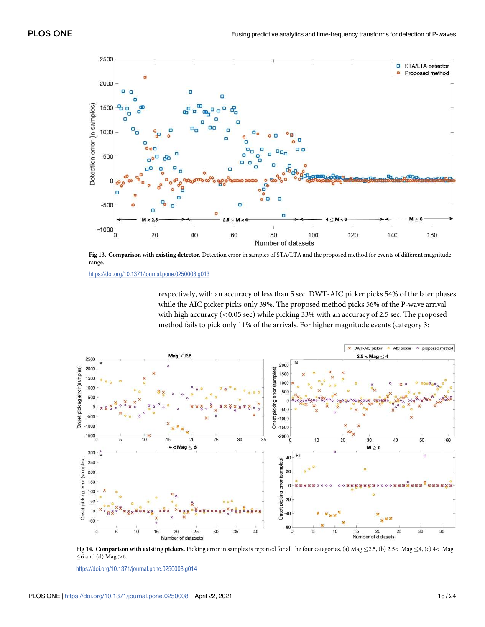<span id="page-17-0"></span>

[Fig 13. C](#page-16-0)omparison with existing detector. Detection error in samples of STA/LTA and the proposed method for events of different magnitude range.

respectively, with an accuracy of less than 5 sec. DWT-AIC picker picks 54% of the later phases while the AIC picker picks only 39%. The proposed method picks 56% of the P-wave arrival with high accuracy (*<*0.05 sec) while picking 33% with an accuracy of 2.5 sec. The proposed method fails to pick only 11% of the arrivals. For higher magnitude events (category 3:



**[Fig 14. C](#page-16-0)omparison with existing pickers.** Picking error in samples is reported for all the four categories, (a) Mag �2.5, (b) 2.5*<* Mag �4, (c) 4*<* Mag �6 and (d) Mag *>*6.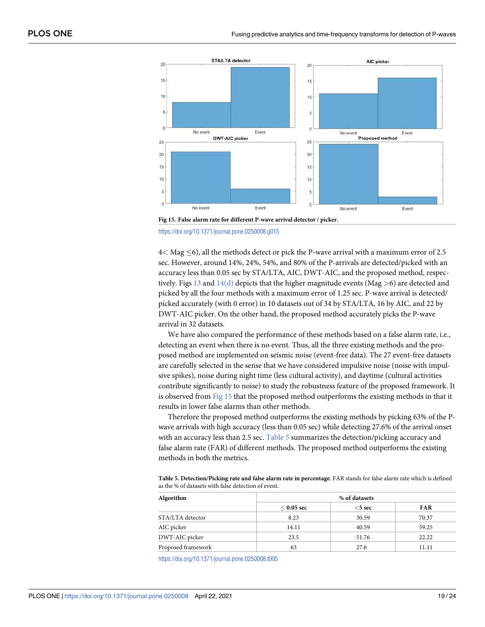

**Fig 15. False alarm rate for different P-wave arrival detector / picker.**



4*<* Mag �6), all the methods detect or pick the P-wave arrival with a maximum error of 2.5 sec. However, around 14%, 24%, 54%, and 80% of the P-arrivals are detected/picked with an accuracy less than 0.05 sec by STA/LTA, AIC, DWT-AIC, and the proposed method, respectively. Figs [13](#page-17-0) and [14\(d\)](#page-17-0) depicts that the higher magnitude events (Mag *>*6) are detected and picked by all the four methods with a maximum error of 1.25 sec. P-wave arrival is detected/ picked accurately (with 0 error) in 10 datasets out of 34 by STA/LTA, 16 by AIC, and 22 by DWT-AIC picker. On the other hand, the proposed method accurately picks the P-wave arrival in 32 datasets.

We have also compared the performance of these methods based on a false alarm rate, i.e., detecting an event when there is no event. Thus, all the three existing methods and the proposed method are implemented on seismic noise (event-free data). The 27 event-free datasets are carefully selected in the sense that we have considered impulsive noise (noise with impulsive spikes), noise during night time (less cultural activity), and daytime (cultural activities contribute significantly to noise) to study the robustness feature of the proposed framework. It is observed from **Fig 15** that the proposed method outperforms the existing methods in that it results in lower false alarms than other methods.

Therefore the proposed method outperforms the existing methods by picking 63% of the Pwave arrivals with high accuracy (less than 0.05 sec) while detecting 27.6% of the arrival onset with an accuracy less than 2.5 sec. Table 5 summarizes the detection/picking accuracy and false alarm rate (FAR) of different methods. The proposed method outperforms the existing methods in both the metrics.

**Table 5. Detection/Picking rate and false alarm rate in percentage.** FAR stands for false alarm rate which is defined as the % of datasets with false detection of event.

| Algorithm          | % of datasets   |           |            |  |  |  |
|--------------------|-----------------|-----------|------------|--|--|--|
|                    | $\leq 0.05$ sec | $<$ 5 sec | <b>FAR</b> |  |  |  |
| STA/LTA detector   | 8.23            | 30.59     | 70.37      |  |  |  |
| AIC picker         | 14.11           | 40.59     | 59.25      |  |  |  |
| DWT-AIC picker     | 23.5            | 51.76     | 22.22      |  |  |  |
| Proposed framework | 63              | 27.6      | 11.11      |  |  |  |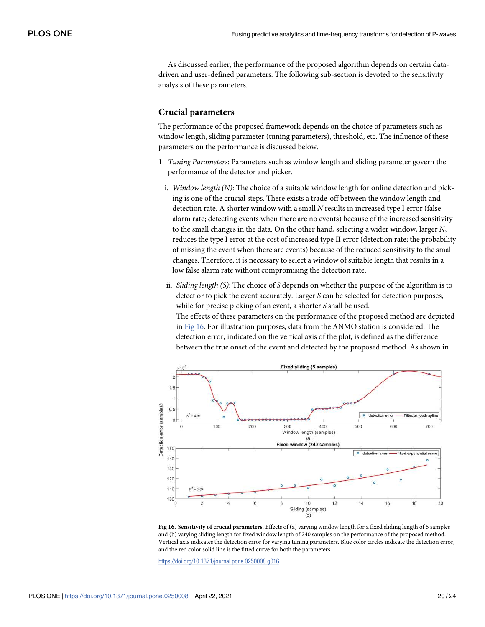<span id="page-19-0"></span>As discussed earlier, the performance of the proposed algorithm depends on certain datadriven and user-defined parameters. The following sub-section is devoted to the sensitivity analysis of these parameters.

#### **Crucial parameters**

The performance of the proposed framework depends on the choice of parameters such as window length, sliding parameter (tuning parameters), threshold, etc. The influence of these parameters on the performance is discussed below.

- 1. Tuning Parameters: Parameters such as window length and sliding parameter govern the performance of the detector and picker.
- i. Window length (N): The choice of a suitable window length for online detection and picking is one of the crucial steps. There exists a trade-off between the window length and detection rate. A shorter window with a small N results in increased type I error (false alarm rate; detecting events when there are no events) because of the increased sensitivity to the small changes in the data. On the other hand, selecting a wider window, larger N, reduces the type I error at the cost of increased type II error (detection rate; the probability of missing the event when there are events) because of the reduced sensitivity to the small changes. Therefore, it is necessary to select a window of suitable length that results in a low false alarm rate without compromising the detection rate.
- ii. Sliding length (S): The choice of S depends on whether the purpose of the algorithm is to detect or to pick the event accurately. Larger S can be selected for detection purposes, while for precise picking of an event, a shorter S shall be used. The effects of these parameters on the performance of the proposed method are depicted in Fig 16. For illustration purposes, data from the ANMO station is considered. The detection error, indicated on the vertical axis of the plot, is defined as the difference between the true onset of the event and detected by the proposed method. As shown in



**Fig 16. Sensitivity of crucial parameters.** Effects of (a) varying window length for a fixed sliding length of 5 samples and (b) varying sliding length for fixed window length of 240 samples on the performance of the proposed method. Vertical axis indicates the detection error for varying tuning parameters. Blue color circles indicate the detection error, and the red color solid line is the fitted curve for both the parameters.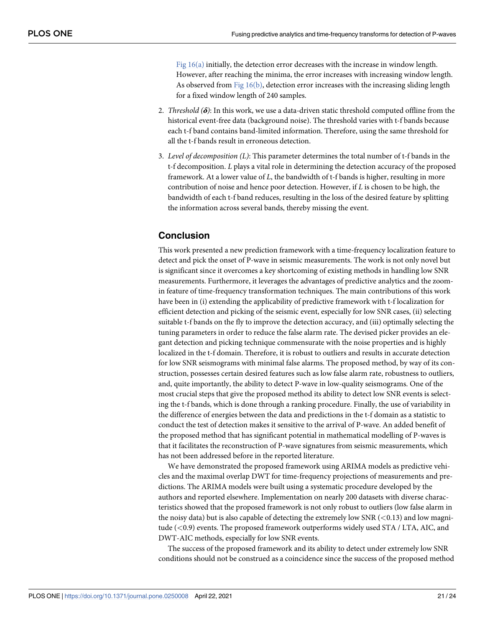[Fig 16\(a\)](#page-19-0) initially, the detection error decreases with the increase in window length. However, after reaching the minima, the error increases with increasing window length. As observed from [Fig 16\(b\)](#page-19-0), detection error increases with the increasing sliding length for a fixed window length of 240 samples.

- 2. *Threshold* ( $\delta$ ): In this work, we use a data-driven static threshold computed offline from the historical event-free data (background noise). The threshold varies with t-f bands because each t-f band contains band-limited information. Therefore, using the same threshold for all the t-f bands result in erroneous detection.
- 3. Level of decomposition (L): This parameter determines the total number of t-f bands in the t-f decomposition. L plays a vital role in determining the detection accuracy of the proposed framework. At a lower value of  $L$ , the bandwidth of t-f bands is higher, resulting in more contribution of noise and hence poor detection. However, if  $L$  is chosen to be high, the bandwidth of each t-f band reduces, resulting in the loss of the desired feature by splitting the information across several bands, thereby missing the event.

## **Conclusion**

This work presented a new prediction framework with a time-frequency localization feature to detect and pick the onset of P-wave in seismic measurements. The work is not only novel but is significant since it overcomes a key shortcoming of existing methods in handling low SNR measurements. Furthermore, it leverages the advantages of predictive analytics and the zoomin feature of time-frequency transformation techniques. The main contributions of this work have been in (i) extending the applicability of predictive framework with t-f localization for efficient detection and picking of the seismic event, especially for low SNR cases, (ii) selecting suitable t-f bands on the fly to improve the detection accuracy, and (iii) optimally selecting the tuning parameters in order to reduce the false alarm rate. The devised picker provides an elegant detection and picking technique commensurate with the noise properties and is highly localized in the t-f domain. Therefore, it is robust to outliers and results in accurate detection for low SNR seismograms with minimal false alarms. The proposed method, by way of its construction, possesses certain desired features such as low false alarm rate, robustness to outliers, and, quite importantly, the ability to detect P-wave in low-quality seismograms. One of the most crucial steps that give the proposed method its ability to detect low SNR events is selecting the t-f bands, which is done through a ranking procedure. Finally, the use of variability in the difference of energies between the data and predictions in the t-f domain as a statistic to conduct the test of detection makes it sensitive to the arrival of P-wave. An added benefit of the proposed method that has significant potential in mathematical modelling of P-waves is that it facilitates the reconstruction of P-wave signatures from seismic measurements, which has not been addressed before in the reported literature.

We have demonstrated the proposed framework using ARIMA models as predictive vehicles and the maximal overlap DWT for time-frequency projections of measurements and predictions. The ARIMA models were built using a systematic procedure developed by the authors and reported elsewhere. Implementation on nearly 200 datasets with diverse characteristics showed that the proposed framework is not only robust to outliers (low false alarm in the noisy data) but is also capable of detecting the extremely low SNR (*<*0.13) and low magnitude (*<*0.9) events. The proposed framework outperforms widely used STA / LTA, AIC, and DWT-AIC methods, especially for low SNR events.

The success of the proposed framework and its ability to detect under extremely low SNR conditions should not be construed as a coincidence since the success of the proposed method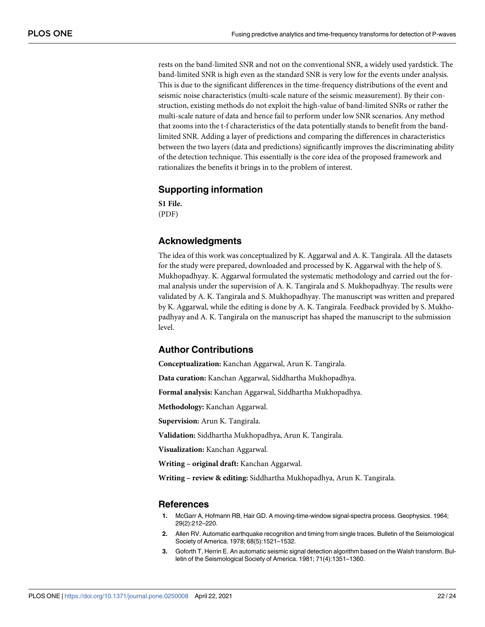<span id="page-21-0"></span>rests on the band-limited SNR and not on the conventional SNR, a widely used yardstick. The band-limited SNR is high even as the standard SNR is very low for the events under analysis. This is due to the significant differences in the time-frequency distributions of the event and seismic noise characteristics (multi-scale nature of the seismic measurement). By their construction, existing methods do not exploit the high-value of band-limited SNRs or rather the multi-scale nature of data and hence fail to perform under low SNR scenarios. Any method that zooms into the t-f characteristics of the data potentially stands to benefit from the bandlimited SNR. Adding a layer of predictions and comparing the differences in characteristics between the two layers (data and predictions) significantly improves the discriminating ability of the detection technique. This essentially is the core idea of the proposed framework and rationalizes the benefits it brings in to the problem of interest.

# **Supporting information**

**[S1 File.](http://www.plosone.org/article/fetchSingleRepresentation.action?uri=info:doi/10.1371/journal.pone.0250008.s001)** (PDF)

# **Acknowledgments**

The idea of this work was conceptualized by K. Aggarwal and A. K. Tangirala. All the datasets for the study were prepared, downloaded and processed by K. Aggarwal with the help of S. Mukhopadhyay. K. Aggarwal formulated the systematic methodology and carried out the formal analysis under the supervision of A. K. Tangirala and S. Mukhopadhyay. The results were validated by A. K. Tangirala and S. Mukhopadhyay. The manuscript was written and prepared by K. Aggarwal, while the editing is done by A. K. Tangirala. Feedback provided by S. Mukhopadhyay and A. K. Tangirala on the manuscript has shaped the manuscript to the submission level.

# **Author Contributions**

**Conceptualization:** Kanchan Aggarwal, Arun K. Tangirala.

**Data curation:** Kanchan Aggarwal, Siddhartha Mukhopadhya.

**Formal analysis:** Kanchan Aggarwal, Siddhartha Mukhopadhya.

**Methodology:** Kanchan Aggarwal.

**Supervision:** Arun K. Tangirala.

**Validation:** Siddhartha Mukhopadhya, Arun K. Tangirala.

**Visualization:** Kanchan Aggarwal.

**Writing – original draft:** Kanchan Aggarwal.

**Writing – review & editing:** Siddhartha Mukhopadhya, Arun K. Tangirala.

#### **References**

- **[1](#page-1-0).** McGarr A, Hofmann RB, Hair GD. A moving-time-window signal-spectra process. Geophysics. 1964; 29(2):212–220.
- **[2](#page-1-0).** Allen RV. Automatic earthquake recognition and timing from single traces. Bulletin of the Seismological Society of America. 1978; 68(5):1521–1532.
- **[3](#page-2-0).** Goforth T, Herrin E. An automatic seismic signal detection algorithm based on the Walsh transform. Bulletin of the Seismological Society of America. 1981; 71(4):1351–1360.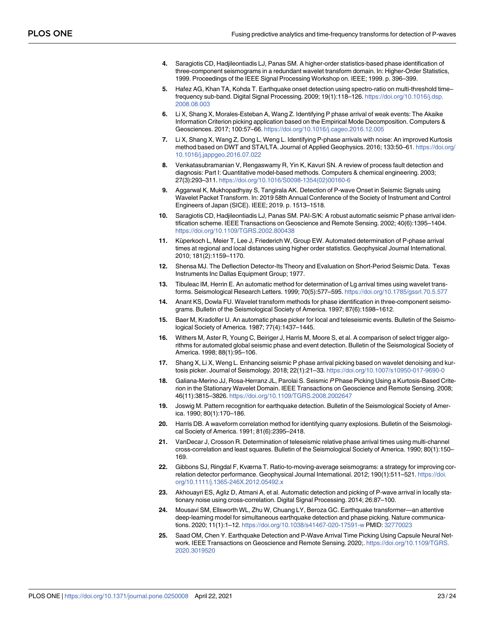- <span id="page-22-0"></span>**[4](#page-2-0).** Saragiotis CD, Hadjileontiadis LJ, Panas SM. A higher-order statistics-based phase identification of three-component seismograms in a redundant wavelet transform domain. In: Higher-Order Statistics, 1999. Proceedings of the IEEE Signal Processing Workshop on. IEEE; 1999. p. 396–399.
- **[5](#page-3-0).** Hafez AG, Khan TA, Kohda T. Earthquake onset detection using spectro-ratio on multi-threshold time– frequency sub-band. Digital Signal Processing. 2009; 19(1):118–126. [https://doi.org/10.1016/j.dsp.](https://doi.org/10.1016/j.dsp.2008.08.003) [2008.08.003](https://doi.org/10.1016/j.dsp.2008.08.003)
- **[6](#page-1-0).** Li X, Shang X, Morales-Esteban A, Wang Z. Identifying P phase arrival of weak events: The Akaike Information Criterion picking application based on the Empirical Mode Decomposition. Computers & Geosciences. 2017; 100:57–66. <https://doi.org/10.1016/j.cageo.2016.12.005>
- **[7](#page-1-0).** Li X, Shang X, Wang Z, Dong L, Weng L. Identifying P-phase arrivals with noise: An improved Kurtosis method based on DWT and STA/LTA. Journal of Applied Geophysics. 2016; 133:50–61. [https://doi.org/](https://doi.org/10.1016/j.jappgeo.2016.07.022) [10.1016/j.jappgeo.2016.07.022](https://doi.org/10.1016/j.jappgeo.2016.07.022)
- **[8](#page-1-0).** Venkatasubramanian V, Rengaswamy R, Yin K, Kavuri SN. A review of process fault detection and diagnosis: Part I: Quantitative model-based methods. Computers & chemical engineering. 2003; 27(3):293–311. [https://doi.org/10.1016/S0098-1354\(02\)00160-6](https://doi.org/10.1016/S0098-1354(02)00160-6)
- **[9](#page-2-0).** Aggarwal K, Mukhopadhyay S, Tangirala AK. Detection of P-wave Onset in Seismic Signals using Wavelet Packet Transform. In: 2019 58th Annual Conference of the Society of Instrument and Control Engineers of Japan (SICE). IEEE; 2019. p. 1513–1518.
- **[10](#page-2-0).** Saragiotis CD, Hadjileontiadis LJ, Panas SM. PAI-S/K: A robust automatic seismic P phase arrival identification scheme. IEEE Transactions on Geoscience and Remote Sensing. 2002; 40(6):1395–1404. <https://doi.org/10.1109/TGRS.2002.800438>
- 11. Küperkoch L, Meier T, Lee J, Friederich W, Group EW. Automated determination of P-phase arrival times at regional and local distances using higher order statistics. Geophysical Journal International. 2010; 181(2):1159–1170.
- **[12](#page-2-0).** Shensa MJ. The Deflection Detector-Its Theory and Evaluation on Short-Period Seismic Data. Texas Instruments Inc Dallas Equipment Group; 1977.
- **[13](#page-3-0).** Tibuleac IM, Herrin E. An automatic method for determination of Lg arrival times using wavelet transforms. Seismological Research Letters. 1999; 70(5):577–595. <https://doi.org/10.1785/gssrl.70.5.577>
- **[14](#page-2-0).** Anant KS, Dowla FU. Wavelet transform methods for phase identification in three-component seismograms. Bulletin of the Seismological Society of America. 1997; 87(6):1598–1612.
- **[15](#page-2-0).** Baer M, Kradolfer U. An automatic phase picker for local and teleseismic events. Bulletin of the Seismological Society of America. 1987; 77(4):1437–1445.
- **[16](#page-2-0).** Withers M, Aster R, Young C, Beiriger J, Harris M, Moore S, et al. A comparison of select trigger algorithms for automated global seismic phase and event detection. Bulletin of the Seismological Society of America. 1998; 88(1):95–106.
- **[17](#page-3-0).** Shang X, Li X, Weng L. Enhancing seismic P phase arrival picking based on wavelet denoising and kurtosis picker. Journal of Seismology. 2018; 22(1):21–33. <https://doi.org/10.1007/s10950-017-9690-0>
- **[18](#page-3-0).** Galiana-Merino JJ, Rosa-Herranz JL, Parolai S. Seismic P Phase Picking Using a Kurtosis-Based Criterion in the Stationary Wavelet Domain. IEEE Transactions on Geoscience and Remote Sensing. 2008; 46(11):3815–3826. <https://doi.org/10.1109/TGRS.2008.2002647>
- **[19](#page-3-0).** Joswig M. Pattern recognition for earthquake detection. Bulletin of the Seismological Society of America. 1990; 80(1):170–186.
- **20.** Harris DB. A waveform correlation method for identifying quarry explosions. Bulletin of the Seismological Society of America. 1991; 81(6):2395–2418.
- **21.** VanDecar J, Crosson R. Determination of teleseismic relative phase arrival times using multi-channel cross-correlation and least squares. Bulletin of the Seismological Society of America. 1990; 80(1):150– 169.
- **[22](#page-3-0).** Gibbons SJ, Ringdal F, Kværna T. Ratio-to-moving-average seismograms: a strategy for improving correlation detector performance. Geophysical Journal International. 2012; 190(1):511–521. [https://doi.](https://doi.org/10.1111/j.1365-246X.2012.05492.x) [org/10.1111/j.1365-246X.2012.05492.x](https://doi.org/10.1111/j.1365-246X.2012.05492.x)
- **[23](#page-3-0).** Akhouayri ES, Agliz D, Atmani A, et al. Automatic detection and picking of P-wave arrival in locally stationary noise using cross-correlation. Digital Signal Processing. 2014; 26:87–100.
- **[24](#page-3-0).** Mousavi SM, Ellsworth WL, Zhu W, Chuang LY, Beroza GC. Earthquake transformer—an attentive deep-learning model for simultaneous earthquake detection and phase picking. Nature communications. 2020; 11(1):1–12. <https://doi.org/10.1038/s41467-020-17591-w> PMID: [32770023](http://www.ncbi.nlm.nih.gov/pubmed/32770023)
- **[25](#page-3-0).** Saad OM, Chen Y. Earthquake Detection and P-Wave Arrival Time Picking Using Capsule Neural Network. IEEE Transactions on Geoscience and Remote Sensing. 2020;. [https://doi.org/10.1109/TGRS.](https://doi.org/10.1109/TGRS.2020.3019520) [2020.3019520](https://doi.org/10.1109/TGRS.2020.3019520)